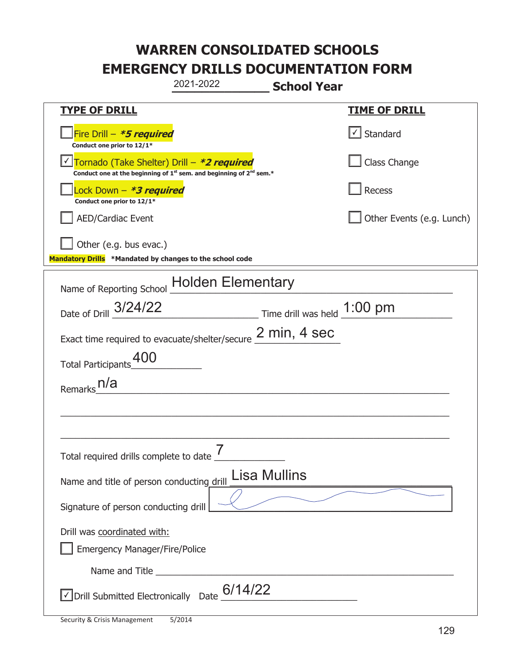|                                                                                    | 2021-2022                                                                     | <b>School Year</b>                                                          |  |
|------------------------------------------------------------------------------------|-------------------------------------------------------------------------------|-----------------------------------------------------------------------------|--|
| <u>TYPE OF DRILL</u>                                                               |                                                                               | <u>TIME OF DRILL</u>                                                        |  |
| Fire Drill - *5 required<br>Conduct one prior to 12/1*                             |                                                                               | $\cup$ Standard                                                             |  |
| Tornado (Take Shelter) Drill – *2 required                                         | Conduct one at the beginning of $1^{st}$ sem. and beginning of $2^{nd}$ sem.* | Class Change                                                                |  |
| ock Down – <b>*3 required</b><br>Conduct one prior to 12/1*                        |                                                                               | Recess                                                                      |  |
| <b>AED/Cardiac Event</b>                                                           |                                                                               | Other Events (e.g. Lunch)                                                   |  |
| Other (e.g. bus evac.)<br>Mandatory Drills *Mandated by changes to the school code |                                                                               |                                                                             |  |
|                                                                                    | Name of Reporting School Holden Elementary                                    |                                                                             |  |
| Date of Drill 3/24/22                                                              |                                                                               | $\frac{1:00 \text{ pm}}{1}$ Time drill was held $\frac{1:00 \text{ pm}}{1}$ |  |
|                                                                                    | Exact time required to evacuate/shelter/secure $2 min, 4 sec$                 |                                                                             |  |
| <b>Total Participants</b>                                                          |                                                                               |                                                                             |  |
| n/a<br>Remarks                                                                     |                                                                               |                                                                             |  |
|                                                                                    |                                                                               |                                                                             |  |
|                                                                                    |                                                                               |                                                                             |  |
| Total required drills complete to date                                             | $\overline{7}$                                                                |                                                                             |  |
| Name and title of person conducting drill                                          | <b>Lisa Mullins</b>                                                           |                                                                             |  |
| Signature of person conducting drill                                               |                                                                               |                                                                             |  |
| Drill was coordinated with:                                                        |                                                                               |                                                                             |  |
| <b>Emergency Manager/Fire/Police</b>                                               |                                                                               |                                                                             |  |
| $\vee$ Drill Submitted Electronically Date $6/14/22$                               |                                                                               |                                                                             |  |
|                                                                                    |                                                                               |                                                                             |  |

T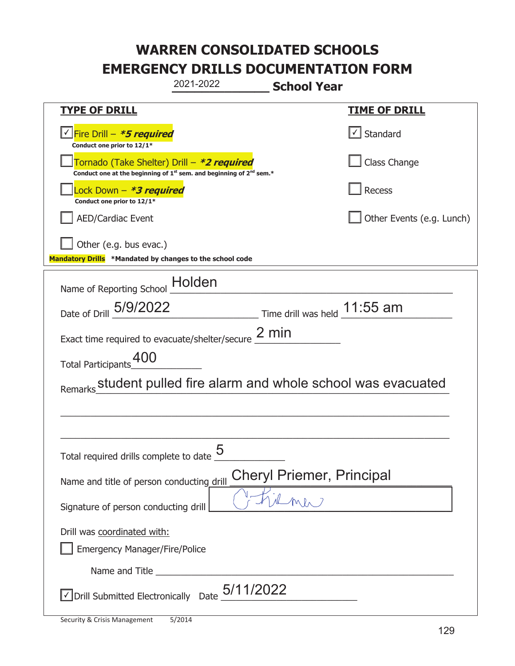| 2021-2022<br><b>School Year</b>                                                                                             |                           |  |
|-----------------------------------------------------------------------------------------------------------------------------|---------------------------|--|
| <b>TYPE OF DRILL</b>                                                                                                        | <u>TIME OF DRILL</u>      |  |
| <u> √ Fire Drill – <b>*5 required</b></u><br>Conduct one prior to 12/1*                                                     | $\cup$ Standard           |  |
| Tornado (Take Shelter) Drill – *2 required<br>Conduct one at the beginning of $1^{st}$ sem. and beginning of $2^{nd}$ sem.* | Class Change              |  |
| Lock Down - <b>*3 required</b><br>Conduct one prior to 12/1*                                                                | Recess                    |  |
| <b>AED/Cardiac Event</b>                                                                                                    | Other Events (e.g. Lunch) |  |
| Other (e.g. bus evac.)<br>Mandatory Drills *Mandated by changes to the school code                                          |                           |  |
| Name of Reporting School _ Holden                                                                                           |                           |  |
| $\frac{11.55}{100}$ Time drill was held $\frac{11.55}{100}$ am<br>Date of Drill 5/9/2022                                    |                           |  |
| Exact time required to evacuate/shelter/secure $\frac{2 \text{ min}}{2}$                                                    |                           |  |
| Total Participants 400                                                                                                      |                           |  |
| student pulled fire alarm and whole school was evacuated<br>Remarks                                                         |                           |  |
|                                                                                                                             |                           |  |
|                                                                                                                             |                           |  |
| Total required drills complete to date $\underline{\mathbf{5}}$                                                             |                           |  |
| <b>Cheryl Priemer, Principal</b><br>Name and title of person conducting drill                                               |                           |  |
| Signature of person conducting drill                                                                                        |                           |  |
| Drill was coordinated with:                                                                                                 |                           |  |
| Emergency Manager/Fire/Police                                                                                               |                           |  |
|                                                                                                                             |                           |  |
| $\vee$ Drill Submitted Electronically Date $\underline{\hspace{1mm}5/11/2022}$                                              |                           |  |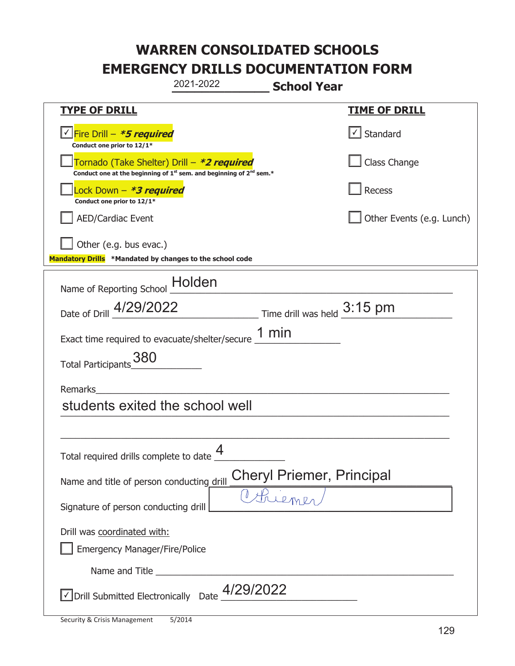| 2021-2022<br><b>School Year</b>                                                                                                           |                           |  |  |  |
|-------------------------------------------------------------------------------------------------------------------------------------------|---------------------------|--|--|--|
| <b>TYPE OF DRILL</b>                                                                                                                      | <b>TIME OF DRILL</b>      |  |  |  |
| <u>√ Fire Drill – <i>*5 required</i></u><br>Conduct one prior to 12/1*                                                                    | √ Standard                |  |  |  |
| Tornado (Take Shelter) Drill – *2 required<br>Conduct one at the beginning of 1 <sup>st</sup> sem. and beginning of 2 <sup>nd</sup> sem.* | Class Change              |  |  |  |
| ock Down – <b>*3 required</b><br>Conduct one prior to 12/1*                                                                               | Recess                    |  |  |  |
| <b>AED/Cardiac Event</b>                                                                                                                  | Other Events (e.g. Lunch) |  |  |  |
| Other (e.g. bus evac.)<br>Mandatory Drills *Mandated by changes to the school code                                                        |                           |  |  |  |
|                                                                                                                                           |                           |  |  |  |
| Holden<br>Name of Reporting School                                                                                                        |                           |  |  |  |
| $\frac{3:15 \text{ pm}}{}$<br>Date of Drill 4/29/2022                                                                                     |                           |  |  |  |
| Exact time required to evacuate/shelter/secure $\underline{\hspace{1em} 1\hspace{1em} min}$                                               |                           |  |  |  |
| 380<br><b>Total Participants</b>                                                                                                          |                           |  |  |  |
| Remarks                                                                                                                                   |                           |  |  |  |
| students exited the school well                                                                                                           |                           |  |  |  |
|                                                                                                                                           |                           |  |  |  |
| Δ<br>Total required drills complete to date $\Box$                                                                                        |                           |  |  |  |
| <b>Cheryl Priemer, Principal</b><br>Name and title of person conducting drill                                                             |                           |  |  |  |
| Threme<br>Signature of person conducting drill                                                                                            |                           |  |  |  |
| Drill was coordinated with:<br><b>Emergency Manager/Fire/Police</b>                                                                       |                           |  |  |  |
|                                                                                                                                           |                           |  |  |  |
| $\vee$ Drill Submitted Electronically Date $\frac{4/29/2022}{\cdots}$                                                                     |                           |  |  |  |

t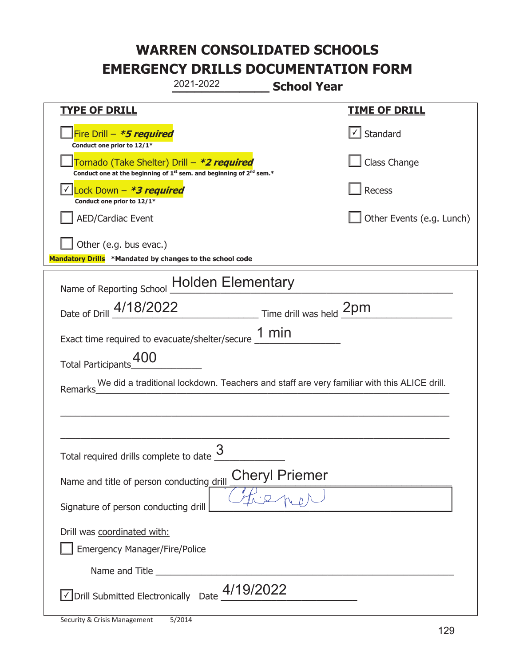| 2021-2022<br><b>School Year</b>                                                                                                           |                           |  |
|-------------------------------------------------------------------------------------------------------------------------------------------|---------------------------|--|
| <b>TYPE OF DRILL</b>                                                                                                                      | <b>TIME OF DRILL</b>      |  |
| Fire Drill - *5 required<br>Conduct one prior to 12/1*                                                                                    | $\lfloor$ Standard        |  |
| Tornado (Take Shelter) Drill – *2 required<br>Conduct one at the beginning of 1 <sup>st</sup> sem. and beginning of 2 <sup>nd</sup> sem.* | Class Change              |  |
| Lock Down - *3 required<br>Conduct one prior to 12/1*                                                                                     | Recess                    |  |
| <b>AED/Cardiac Event</b>                                                                                                                  | Other Events (e.g. Lunch) |  |
| Other (e.g. bus evac.)<br>Mandatory Drills *Mandated by changes to the school code                                                        |                           |  |
| Name of Reporting School Holden Elementary                                                                                                |                           |  |
| Date of Drill 4/18/2022 Time drill was held 2pm                                                                                           |                           |  |
| Exact time required to evacuate/shelter/secure $\underline{\hspace{1em} 1}$ min                                                           |                           |  |
| 400<br><b>Total Participants</b>                                                                                                          |                           |  |
| We did a traditional lockdown. Teachers and staff are very familiar with this ALICE drill.<br>Remarks                                     |                           |  |
|                                                                                                                                           |                           |  |
|                                                                                                                                           |                           |  |
| Total required drills complete to date $\frac{3}{5}$                                                                                      |                           |  |
| <b>Cheryl Priemer</b><br>Name and title of person conducting drill                                                                        |                           |  |
| Signature of person conducting drill                                                                                                      |                           |  |
| Drill was coordinated with:                                                                                                               |                           |  |
| <b>Emergency Manager/Fire/Police</b>                                                                                                      |                           |  |
|                                                                                                                                           |                           |  |
| $\sqrt{}$ Drill Submitted Electronically Date $\frac{4/19}{2022}$                                                                         |                           |  |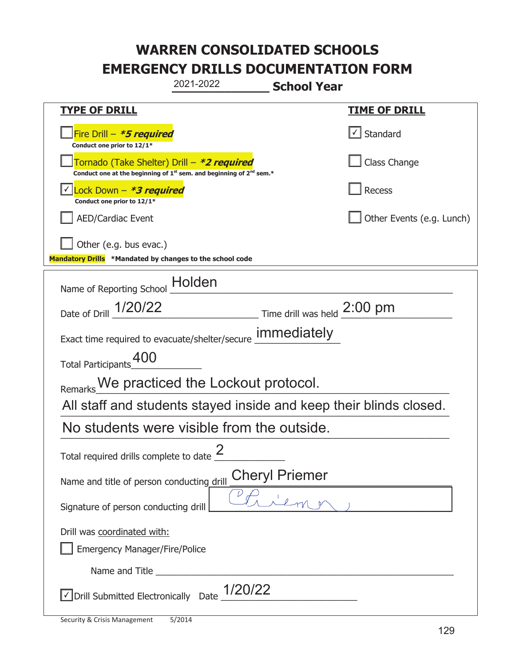| 2021-2022<br><b>School Year</b>                                                                                             |                              |  |
|-----------------------------------------------------------------------------------------------------------------------------|------------------------------|--|
| <b>TYPE OF DRILL</b>                                                                                                        | <u>TIME OF DRILL</u>         |  |
| Fire Drill $-$ *5 required<br>Conduct one prior to 12/1*                                                                    | $\vert \cdot \vert$ Standard |  |
| Tornado (Take Shelter) Drill – *2 required<br>Conduct one at the beginning of $1^{st}$ sem. and beginning of $2^{nd}$ sem.* | Class Change                 |  |
| Lock Down $-$ *3 required<br>Conduct one prior to 12/1*                                                                     | Recess                       |  |
| <b>AED/Cardiac Event</b>                                                                                                    | Other Events (e.g. Lunch)    |  |
| Other (e.g. bus evac.)<br>Mandatory Drills *Mandated by changes to the school code                                          |                              |  |
| Holden<br>Name of Reporting School                                                                                          |                              |  |
| Date of Drill 1/20/22<br>Time drill was held $2:00$ pm                                                                      |                              |  |
| Exact time required to evacuate/shelter/secure <b>immediately</b>                                                           |                              |  |
| Total Participants <sup>400</sup>                                                                                           |                              |  |
| Remarks We practiced the Lockout protocol.                                                                                  |                              |  |
| All staff and students stayed inside and keep their blinds closed.                                                          |                              |  |
| No students were visible from the outside.                                                                                  |                              |  |
| ႒<br>Total required drills complete to date $\leq$                                                                          |                              |  |
| <b>Cheryl Priemer</b><br>Name and title of person conducting drill                                                          |                              |  |
| Signature of person conducting drill                                                                                        |                              |  |
| Drill was coordinated with:                                                                                                 |                              |  |
| <b>Emergency Manager/Fire/Police</b>                                                                                        |                              |  |
|                                                                                                                             |                              |  |
| 1/20/22<br>$\sqrt{}$ Drill Submitted Electronically Date                                                                    |                              |  |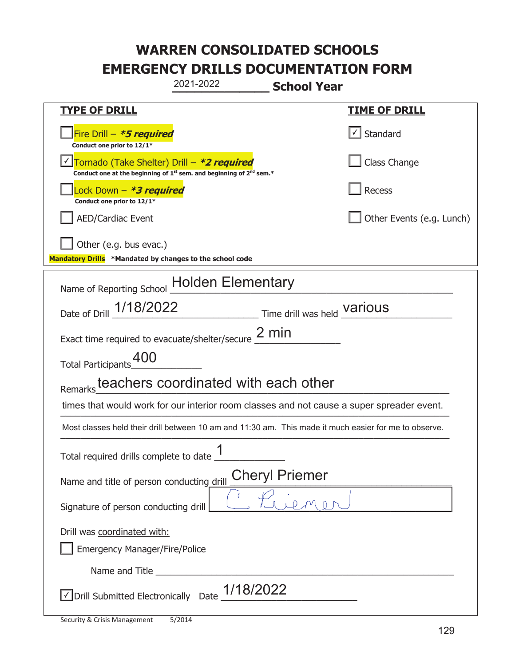| 2021-2022<br><b>School Year</b>                                                                                                           |                              |  |
|-------------------------------------------------------------------------------------------------------------------------------------------|------------------------------|--|
| <b>TYPE OF DRILL</b>                                                                                                                      | <u>TIME OF DRILL</u>         |  |
| Fire Drill - *5 required<br>Conduct one prior to 12/1*                                                                                    | $\vert \cdot \vert$ Standard |  |
| Tornado (Take Shelter) Drill - *2 required<br>Conduct one at the beginning of 1 <sup>st</sup> sem. and beginning of 2 <sup>nd</sup> sem.* | Class Change                 |  |
| Lock Down – <b><i>*3 required</i></b><br>Conduct one prior to 12/1*                                                                       | <b>Recess</b>                |  |
| <b>AED/Cardiac Event</b>                                                                                                                  | Other Events (e.g. Lunch)    |  |
| Other (e.g. bus evac.)<br>Mandatory Drills *Mandated by changes to the school code                                                        |                              |  |
| Name of Reporting School Holden Elementary                                                                                                |                              |  |
| Date of Drill _ 1/18/2022<br>Time drill was held Various                                                                                  |                              |  |
| Exact time required to evacuate/shelter/secure $2$ min                                                                                    |                              |  |
| Total Participants_00                                                                                                                     |                              |  |
| teachers coordinated with each other<br>Remarks                                                                                           |                              |  |
| times that would work for our interior room classes and not cause a super spreader event.                                                 |                              |  |
| Most classes held their drill between 10 am and 11:30 am. This made it much easier for me to observe.                                     |                              |  |
| ◢<br>Total required drills complete to date                                                                                               |                              |  |
| <b>Cheryl Priemer</b><br>Name and title of person conducting drill                                                                        |                              |  |
| Signature of person conducting drill                                                                                                      |                              |  |
| Drill was coordinated with:<br>Emergency Manager/Fire/Police                                                                              |                              |  |
|                                                                                                                                           |                              |  |
| 1/18/2022<br>√ Drill Submitted Electronically Date                                                                                        |                              |  |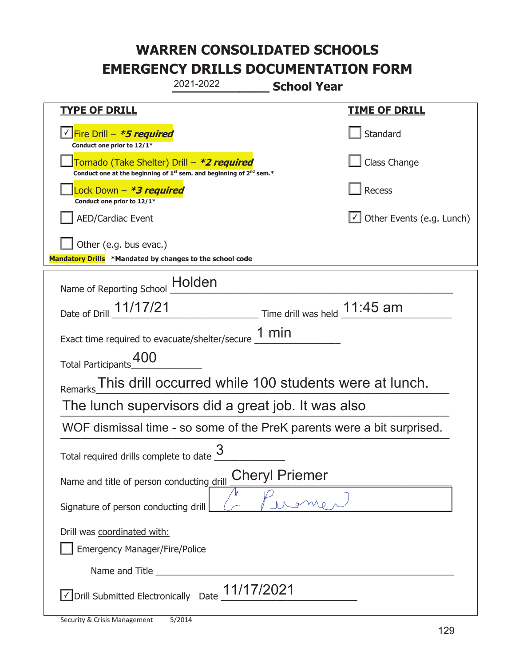|                                                                                             | 2021-2022                                                                     | <b>School Year</b>                                             |                                  |
|---------------------------------------------------------------------------------------------|-------------------------------------------------------------------------------|----------------------------------------------------------------|----------------------------------|
| <b>TYPE OF DRILL</b>                                                                        |                                                                               |                                                                | <u>TIME OF DRILL</u>             |
| √Fire Drill – <i>*<b>5 required</b></i><br>Conduct one prior to 12/1*                       |                                                                               |                                                                | Standard                         |
| Tornado (Take Shelter) Drill – *2 required                                                  | Conduct one at the beginning of $1^{st}$ sem. and beginning of $2^{nd}$ sem.* |                                                                | Class Change                     |
| Lock Down – <b>*<i>3 required</i></b><br>Conduct one prior to 12/1*                         |                                                                               |                                                                | Recess                           |
| <b>AED/Cardiac Event</b>                                                                    |                                                                               |                                                                | $\cup$ Other Events (e.g. Lunch) |
| Other (e.g. bus evac.)<br>Mandatory Drills *Mandated by changes to the school code          |                                                                               |                                                                |                                  |
| Name of Reporting School _Holden                                                            |                                                                               |                                                                |                                  |
| Date of Drill 11/17/21                                                                      |                                                                               | $\frac{11.45}{100}$ Time drill was held $\frac{11.45}{100}$ am |                                  |
| Exact time required to evacuate/shelter/secure $\underline{\hspace{1em} 1\hspace{1em} min}$ |                                                                               |                                                                |                                  |
| Total Participants_400                                                                      |                                                                               |                                                                |                                  |
| Remarks                                                                                     | This drill occurred while 100 students were at lunch.                         |                                                                |                                  |
| The lunch supervisors did a great job. It was also                                          |                                                                               |                                                                |                                  |
| WOF dismissal time - so some of the PreK parents were a bit surprised.                      |                                                                               |                                                                |                                  |
| Total required drills complete to date                                                      | 3                                                                             |                                                                |                                  |
| <b>Cheryl Priemer</b><br>Name and title of person conducting drill                          |                                                                               |                                                                |                                  |
| Signature of person conducting drill                                                        |                                                                               |                                                                |                                  |
| Drill was coordinated with:<br><b>Emergency Manager/Fire/Police</b>                         |                                                                               |                                                                |                                  |
|                                                                                             |                                                                               |                                                                |                                  |
| √ Drill Submitted Electronically Date                                                       | 11/17/2021                                                                    |                                                                |                                  |

t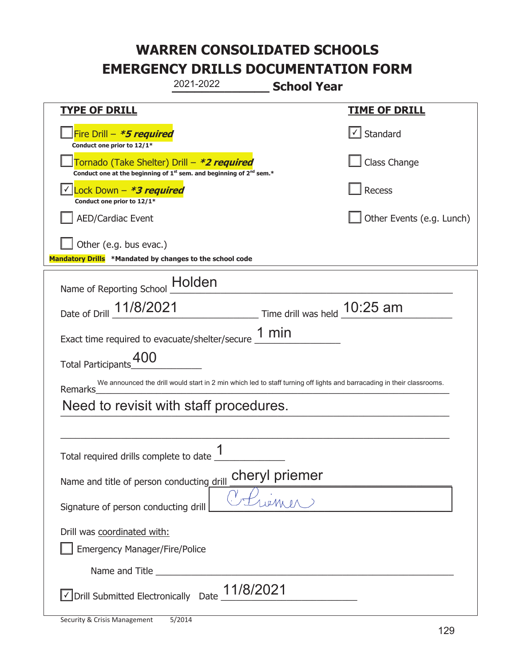| 2021-2022<br><b>School Year</b>                                                                                                           |                                |  |
|-------------------------------------------------------------------------------------------------------------------------------------------|--------------------------------|--|
| <b>TYPE OF DRILL</b>                                                                                                                      | <u>TIME OF DRILL</u>           |  |
| Fire Drill - *5 required<br>Conduct one prior to 12/1*                                                                                    | $\checkmark$ Standard          |  |
| Tornado (Take Shelter) Drill – *2 required<br>Conduct one at the beginning of 1 <sup>st</sup> sem. and beginning of 2 <sup>nd</sup> sem.* | Class Change                   |  |
| Lock Down - *3 required<br>Conduct one prior to 12/1*                                                                                     | Recess                         |  |
| <b>AED/Cardiac Event</b>                                                                                                                  | Other Events (e.g. Lunch)      |  |
| Other (e.g. bus evac.)<br>Mandatory Drills *Mandated by changes to the school code                                                        |                                |  |
| Holden<br>Name of Reporting School                                                                                                        |                                |  |
| Date of Drill 11/8/2021                                                                                                                   | Time drill was held $10:25$ am |  |
| Exact time required to evacuate/shelter/secure 1 min                                                                                      |                                |  |
| Total Participants <sup>400</sup>                                                                                                         |                                |  |
| We announced the drill would start in 2 min which led to staff turning off lights and barracading in their classrooms.<br>Remarks         |                                |  |
| Need to revisit with staff procedures.                                                                                                    |                                |  |
|                                                                                                                                           |                                |  |
| 4<br>Total required drills complete to date                                                                                               |                                |  |
| cheryl priemer<br>Name and title of person conducting drill                                                                               |                                |  |
| Signature of person conducting drill                                                                                                      |                                |  |
| Drill was coordinated with:                                                                                                               |                                |  |
| <b>Emergency Manager/Fire/Police</b>                                                                                                      |                                |  |
|                                                                                                                                           |                                |  |
| 11/8/2021<br>√ Drill Submitted Electronically Date                                                                                        |                                |  |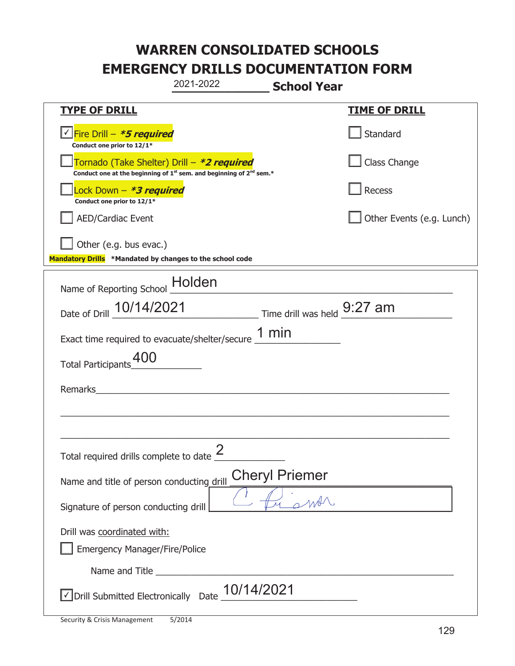|                                                                                    | 2021-2022                                                                                   | <b>School Year</b>    |                           |
|------------------------------------------------------------------------------------|---------------------------------------------------------------------------------------------|-----------------------|---------------------------|
| <b>TYPE OF DRILL</b>                                                               |                                                                                             |                       | <b>TIME OF DRILL</b>      |
| <u>√ Fire Drill – <i>*5 required</i></u><br>Conduct one prior to 12/1*             |                                                                                             |                       | Standard                  |
| Tornado (Take Shelter) Drill – *2 required                                         | Conduct one at the beginning of 1 <sup>st</sup> sem. and beginning of 2 <sup>nd</sup> sem.* |                       | Class Change              |
| ock Down – <b>*<i>3 required</i></b><br>Conduct one prior to 12/1*                 |                                                                                             |                       | <b>Recess</b>             |
| <b>AED/Cardiac Event</b>                                                           |                                                                                             |                       | Other Events (e.g. Lunch) |
| Other (e.g. bus evac.)<br>Mandatory Drills *Mandated by changes to the school code |                                                                                             |                       |                           |
| Name of Reporting School Holden                                                    |                                                                                             |                       |                           |
| Date of Drill 10/14/2021                                                           | Time drill was held 9:27 am                                                                 |                       |                           |
| Exact time required to evacuate/shelter/secure $\underline{\hspace{1em} 1}$ min    |                                                                                             |                       |                           |
| <b>Total Participants</b>                                                          |                                                                                             |                       |                           |
| Remarks                                                                            |                                                                                             |                       |                           |
|                                                                                    |                                                                                             |                       |                           |
| Total required drills complete to date $\frac{2}{3}$                               |                                                                                             |                       |                           |
| Name and title of person conducting drill                                          |                                                                                             | <b>Cheryl Priemer</b> |                           |
| Signature of person conducting drill                                               |                                                                                             | smar                  |                           |
| Drill was coordinated with:<br><b>Emergency Manager/Fire/Police</b>                |                                                                                             |                       |                           |
|                                                                                    |                                                                                             |                       |                           |
| √ Drill Submitted Electronically                                                   | 10/14/2021<br>Date                                                                          |                       |                           |